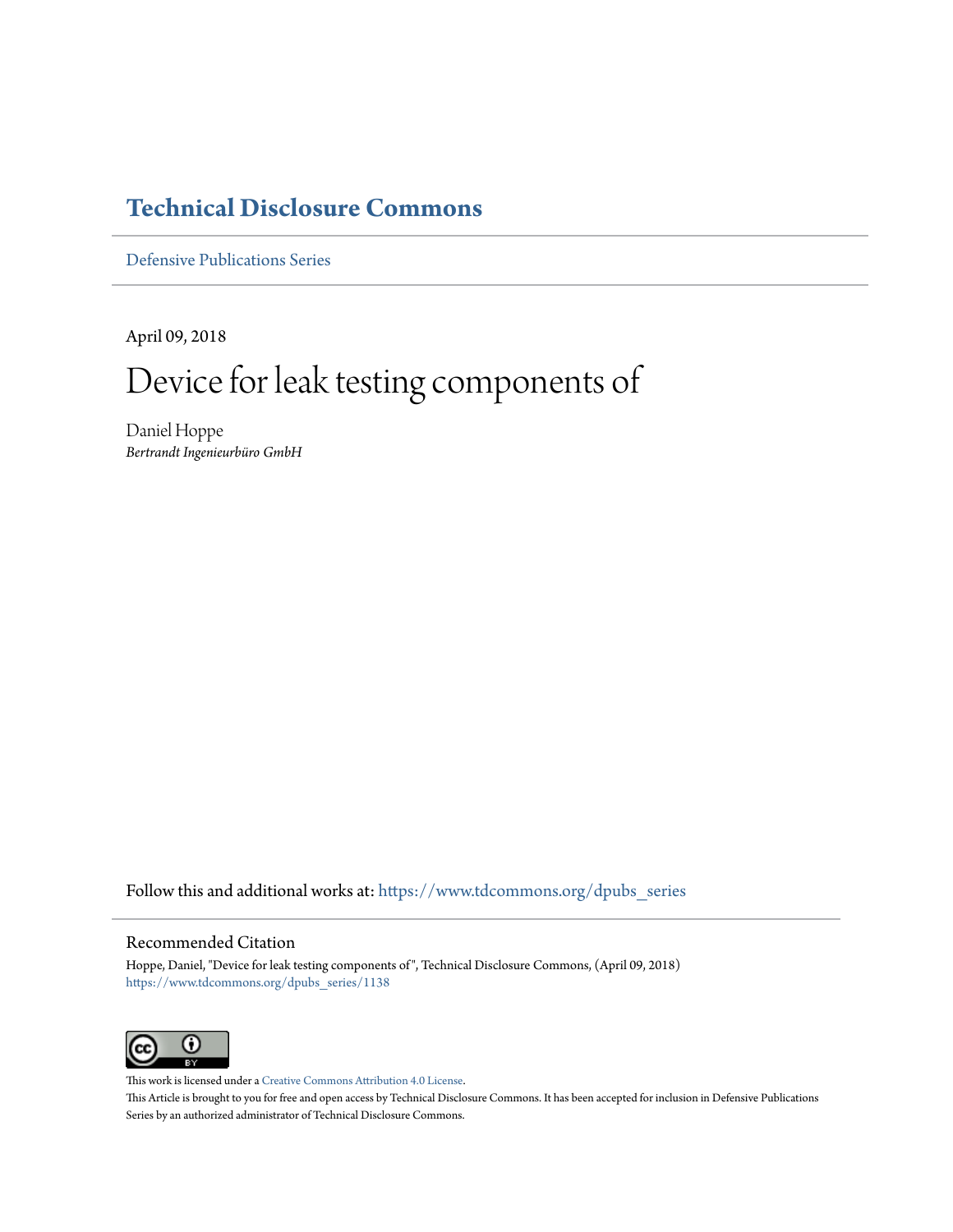## **[Technical Disclosure Commons](https://www.tdcommons.org?utm_source=www.tdcommons.org%2Fdpubs_series%2F1138&utm_medium=PDF&utm_campaign=PDFCoverPages)**

[Defensive Publications Series](https://www.tdcommons.org/dpubs_series?utm_source=www.tdcommons.org%2Fdpubs_series%2F1138&utm_medium=PDF&utm_campaign=PDFCoverPages)

April 09, 2018

# Device for leak testing components of

Daniel Hoppe *Bertrandt Ingenieurbüro GmbH*

Follow this and additional works at: [https://www.tdcommons.org/dpubs\\_series](https://www.tdcommons.org/dpubs_series?utm_source=www.tdcommons.org%2Fdpubs_series%2F1138&utm_medium=PDF&utm_campaign=PDFCoverPages)

#### Recommended Citation

Hoppe, Daniel, "Device for leak testing components of", Technical Disclosure Commons, (April 09, 2018) [https://www.tdcommons.org/dpubs\\_series/1138](https://www.tdcommons.org/dpubs_series/1138?utm_source=www.tdcommons.org%2Fdpubs_series%2F1138&utm_medium=PDF&utm_campaign=PDFCoverPages)



This work is licensed under a [Creative Commons Attribution 4.0 License.](http://creativecommons.org/licenses/by/4.0/deed.en_US) This Article is brought to you for free and open access by Technical Disclosure Commons. It has been accepted for inclusion in Defensive Publications Series by an authorized administrator of Technical Disclosure Commons.